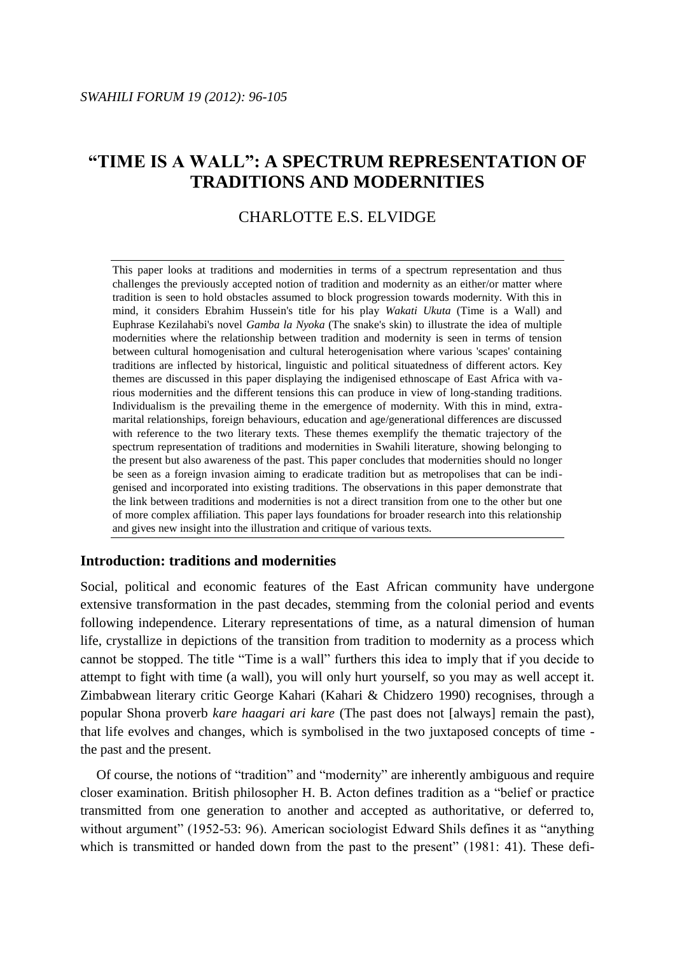# **"TIME IS A WALL": A SPECTRUM REPRESENTATION OF TRADITIONS AND MODERNITIES**

# CHARLOTTE E.S. ELVIDGE

This paper looks at traditions and modernities in terms of a spectrum representation and thus challenges the previously accepted notion of tradition and modernity as an either/or matter where tradition is seen to hold obstacles assumed to block progression towards modernity. With this in mind, it considers Ebrahim Hussein's title for his play *Wakati Ukuta* (Time is a Wall) and Euphrase Kezilahabi's novel *Gamba la Nyoka* (The snake's skin) to illustrate the idea of multiple modernities where the relationship between tradition and modernity is seen in terms of tension between cultural homogenisation and cultural heterogenisation where various 'scapes' containing traditions are inflected by historical, linguistic and political situatedness of different actors. Key themes are discussed in this paper displaying the indigenised ethnoscape of East Africa with various modernities and the different tensions this can produce in view of long-standing traditions. Individualism is the prevailing theme in the emergence of modernity. With this in mind, extramarital relationships, foreign behaviours, education and age/generational differences are discussed with reference to the two literary texts. These themes exemplify the thematic trajectory of the spectrum representation of traditions and modernities in Swahili literature, showing belonging to the present but also awareness of the past. This paper concludes that modernities should no longer be seen as a foreign invasion aiming to eradicate tradition but as metropolises that can be indigenised and incorporated into existing traditions. The observations in this paper demonstrate that the link between traditions and modernities is not a direct transition from one to the other but one of more complex affiliation. This paper lays foundations for broader research into this relationship and gives new insight into the illustration and critique of various texts.

# **Introduction: traditions and modernities**

Social, political and economic features of the East African community have undergone extensive transformation in the past decades, stemming from the colonial period and events following independence. Literary representations of time, as a natural dimension of human life, crystallize in depictions of the transition from tradition to modernity as a process which cannot be stopped. The title "Time is a wall" furthers this idea to imply that if you decide to attempt to fight with time (a wall), you will only hurt yourself, so you may as well accept it. Zimbabwean literary critic George Kahari (Kahari & Chidzero 1990) recognises, through a popular Shona proverb *kare haagari ari kare* (The past does not [always] remain the past), that life evolves and changes, which is symbolised in the two juxtaposed concepts of time the past and the present.

Of course, the notions of "tradition" and "modernity" are inherently ambiguous and require closer examination. British philosopher H. B. Acton defines tradition as a "belief or practice transmitted from one generation to another and accepted as authoritative, or deferred to, without argument" (1952-53: 96). American sociologist Edward Shils defines it as "anything which is transmitted or handed down from the past to the present" (1981: 41). These defi-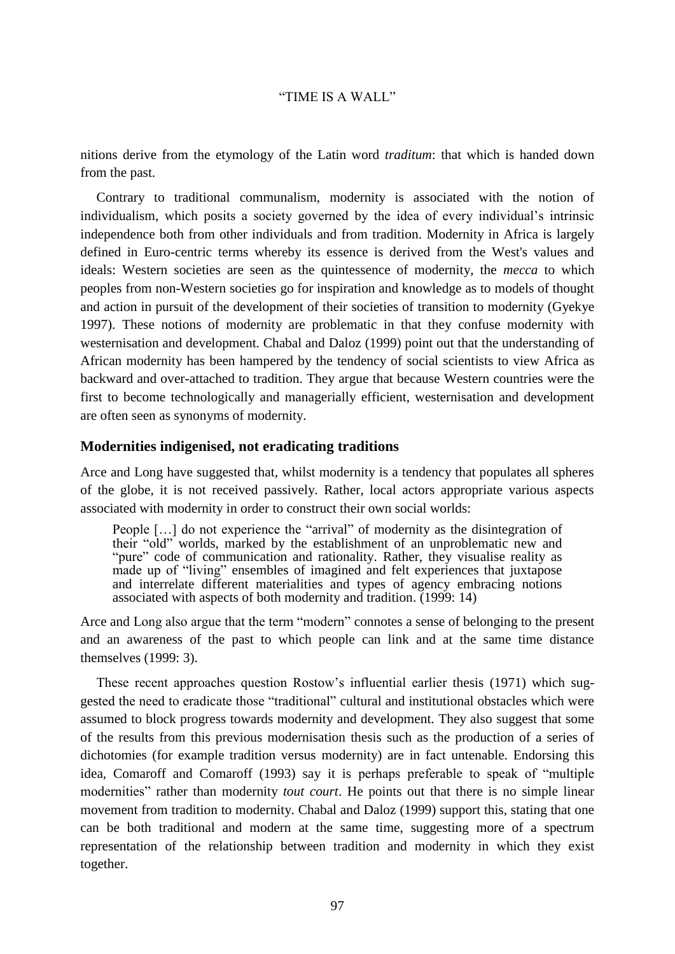nitions derive from the etymology of the Latin word *traditum*: that which is handed down from the past.

Contrary to traditional communalism, modernity is associated with the notion of individualism, which posits a society governed by the idea of every individual's intrinsic independence both from other individuals and from tradition. Modernity in Africa is largely defined in Euro-centric terms whereby its essence is derived from the West's values and ideals: Western societies are seen as the quintessence of modernity, the *mecca* to which peoples from non-Western societies go for inspiration and knowledge as to models of thought and action in pursuit of the development of their societies of transition to modernity (Gyekye 1997). These notions of modernity are problematic in that they confuse modernity with westernisation and development. Chabal and Daloz (1999) point out that the understanding of African modernity has been hampered by the tendency of social scientists to view Africa as backward and over-attached to tradition. They argue that because Western countries were the first to become technologically and managerially efficient, westernisation and development are often seen as synonyms of modernity.

# **Modernities indigenised, not eradicating traditions**

Arce and Long have suggested that, whilst modernity is a tendency that populates all spheres of the globe, it is not received passively. Rather, local actors appropriate various aspects associated with modernity in order to construct their own social worlds:

People […] do not experience the "arrival" of modernity as the disintegration of their "old" worlds, marked by the establishment of an unproblematic new and "pure" code of communication and rationality. Rather, they visualise reality as made up of "living" ensembles of imagined and felt experiences that juxtapose and interrelate different materialities and types of agency embracing notions associated with aspects of both modernity and tradition. (1999: 14)

Arce and Long also argue that the term "modern" connotes a sense of belonging to the present and an awareness of the past to which people can link and at the same time distance themselves (1999: 3).

These recent approaches question Rostow's influential earlier thesis (1971) which suggested the need to eradicate those "traditional" cultural and institutional obstacles which were assumed to block progress towards modernity and development. They also suggest that some of the results from this previous modernisation thesis such as the production of a series of dichotomies (for example tradition versus modernity) are in fact untenable. Endorsing this idea, Comaroff and Comaroff (1993) say it is perhaps preferable to speak of "multiple modernities" rather than modernity *tout court*. He points out that there is no simple linear movement from tradition to modernity. Chabal and Daloz (1999) support this, stating that one can be both traditional and modern at the same time, suggesting more of a spectrum representation of the relationship between tradition and modernity in which they exist together.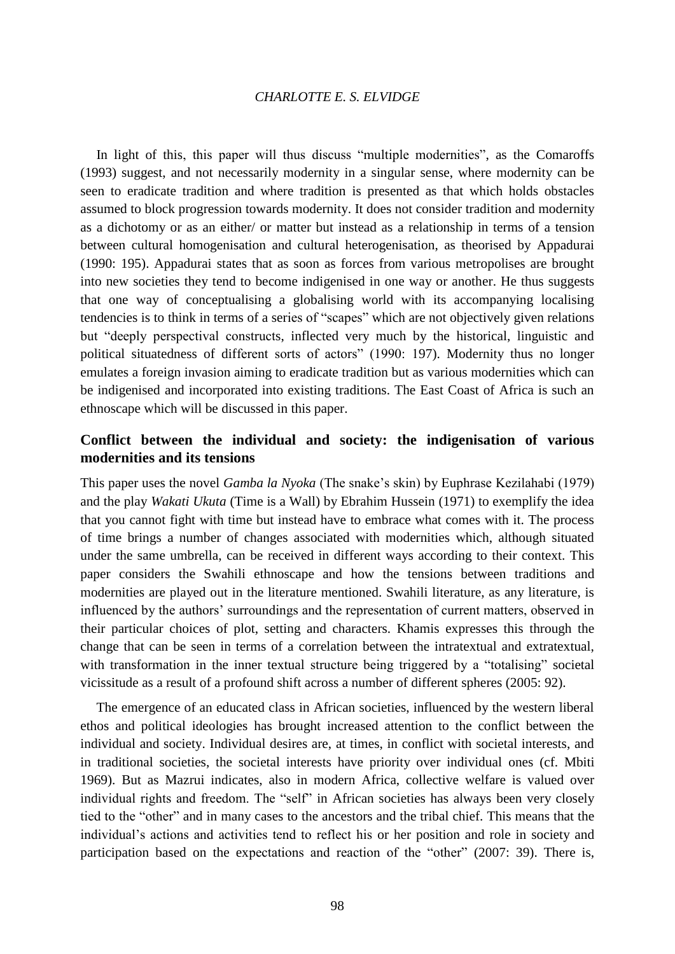In light of this, this paper will thus discuss "multiple modernities", as the Comaroffs (1993) suggest, and not necessarily modernity in a singular sense, where modernity can be seen to eradicate tradition and where tradition is presented as that which holds obstacles assumed to block progression towards modernity. It does not consider tradition and modernity as a dichotomy or as an either/ or matter but instead as a relationship in terms of a tension between cultural homogenisation and cultural heterogenisation, as theorised by Appadurai (1990: 195). Appadurai states that as soon as forces from various metropolises are brought into new societies they tend to become indigenised in one way or another. He thus suggests that one way of conceptualising a globalising world with its accompanying localising tendencies is to think in terms of a series of "scapes" which are not objectively given relations but "deeply perspectival constructs, inflected very much by the historical, linguistic and political situatedness of different sorts of actors" (1990: 197). Modernity thus no longer emulates a foreign invasion aiming to eradicate tradition but as various modernities which can be indigenised and incorporated into existing traditions. The East Coast of Africa is such an ethnoscape which will be discussed in this paper.

# **Conflict between the individual and society: the indigenisation of various modernities and its tensions**

This paper uses the novel *Gamba la Nyoka* (The snake's skin) by Euphrase Kezilahabi (1979) and the play *Wakati Ukuta* (Time is a Wall) by Ebrahim Hussein (1971) to exemplify the idea that you cannot fight with time but instead have to embrace what comes with it. The process of time brings a number of changes associated with modernities which, although situated under the same umbrella, can be received in different ways according to their context. This paper considers the Swahili ethnoscape and how the tensions between traditions and modernities are played out in the literature mentioned. Swahili literature, as any literature, is influenced by the authors' surroundings and the representation of current matters, observed in their particular choices of plot, setting and characters. Khamis expresses this through the change that can be seen in terms of a correlation between the intratextual and extratextual, with transformation in the inner textual structure being triggered by a "totalising" societal vicissitude as a result of a profound shift across a number of different spheres (2005: 92).

The emergence of an educated class in African societies, influenced by the western liberal ethos and political ideologies has brought increased attention to the conflict between the individual and society. Individual desires are, at times, in conflict with societal interests, and in traditional societies, the societal interests have priority over individual ones (cf. Mbiti 1969). But as Mazrui indicates, also in modern Africa, collective welfare is valued over individual rights and freedom. The "self" in African societies has always been very closely tied to the "other" and in many cases to the ancestors and the tribal chief. This means that the individual's actions and activities tend to reflect his or her position and role in society and participation based on the expectations and reaction of the "other" (2007: 39). There is,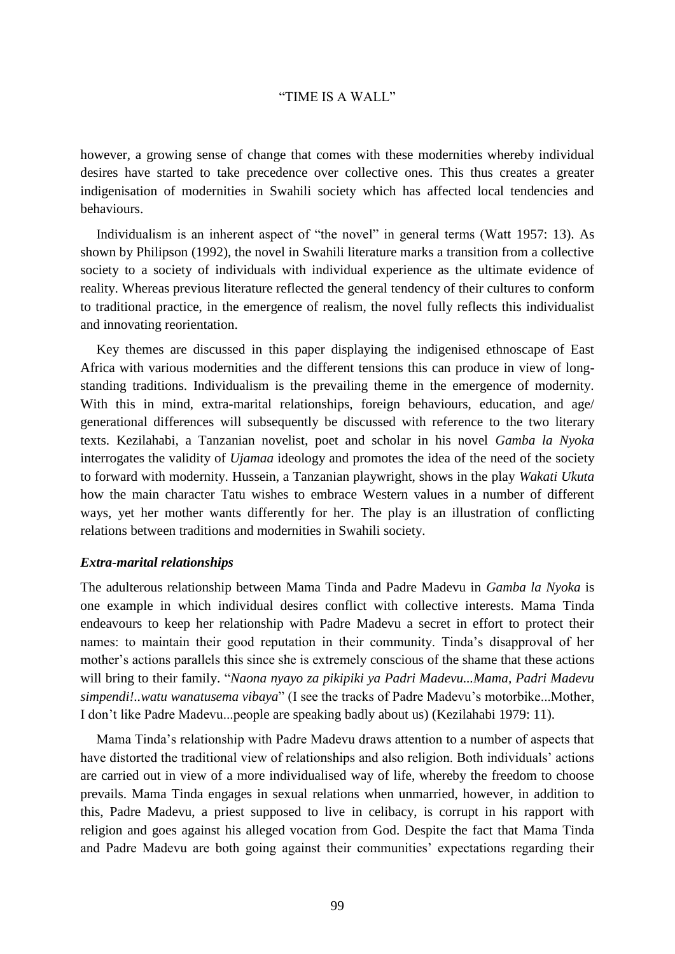however, a growing sense of change that comes with these modernities whereby individual desires have started to take precedence over collective ones. This thus creates a greater indigenisation of modernities in Swahili society which has affected local tendencies and behaviours.

Individualism is an inherent aspect of "the novel" in general terms (Watt 1957: 13). As shown by Philipson (1992), the novel in Swahili literature marks a transition from a collective society to a society of individuals with individual experience as the ultimate evidence of reality. Whereas previous literature reflected the general tendency of their cultures to conform to traditional practice, in the emergence of realism, the novel fully reflects this individualist and innovating reorientation.

Key themes are discussed in this paper displaying the indigenised ethnoscape of East Africa with various modernities and the different tensions this can produce in view of longstanding traditions. Individualism is the prevailing theme in the emergence of modernity. With this in mind, extra-marital relationships, foreign behaviours, education, and age/ generational differences will subsequently be discussed with reference to the two literary texts. Kezilahabi, a Tanzanian novelist, poet and scholar in his novel *Gamba la Nyoka* interrogates the validity of *Ujamaa* ideology and promotes the idea of the need of the society to forward with modernity. Hussein, a Tanzanian playwright, shows in the play *Wakati Ukuta* how the main character Tatu wishes to embrace Western values in a number of different ways, yet her mother wants differently for her. The play is an illustration of conflicting relations between traditions and modernities in Swahili society.

### *Extra-marital relationships*

The adulterous relationship between Mama Tinda and Padre Madevu in *Gamba la Nyoka* is one example in which individual desires conflict with collective interests. Mama Tinda endeavours to keep her relationship with Padre Madevu a secret in effort to protect their names: to maintain their good reputation in their community. Tinda's disapproval of her mother's actions parallels this since she is extremely conscious of the shame that these actions will bring to their family. "*Naona nyayo za pikipiki ya Padri Madevu...Mama, Padri Madevu simpendi!..watu wanatusema vibaya*" (I see the tracks of Padre Madevu's motorbike...Mother, I don't like Padre Madevu...people are speaking badly about us) (Kezilahabi 1979: 11).

Mama Tinda's relationship with Padre Madevu draws attention to a number of aspects that have distorted the traditional view of relationships and also religion. Both individuals' actions are carried out in view of a more individualised way of life, whereby the freedom to choose prevails. Mama Tinda engages in sexual relations when unmarried, however, in addition to this, Padre Madevu, a priest supposed to live in celibacy, is corrupt in his rapport with religion and goes against his alleged vocation from God. Despite the fact that Mama Tinda and Padre Madevu are both going against their communities' expectations regarding their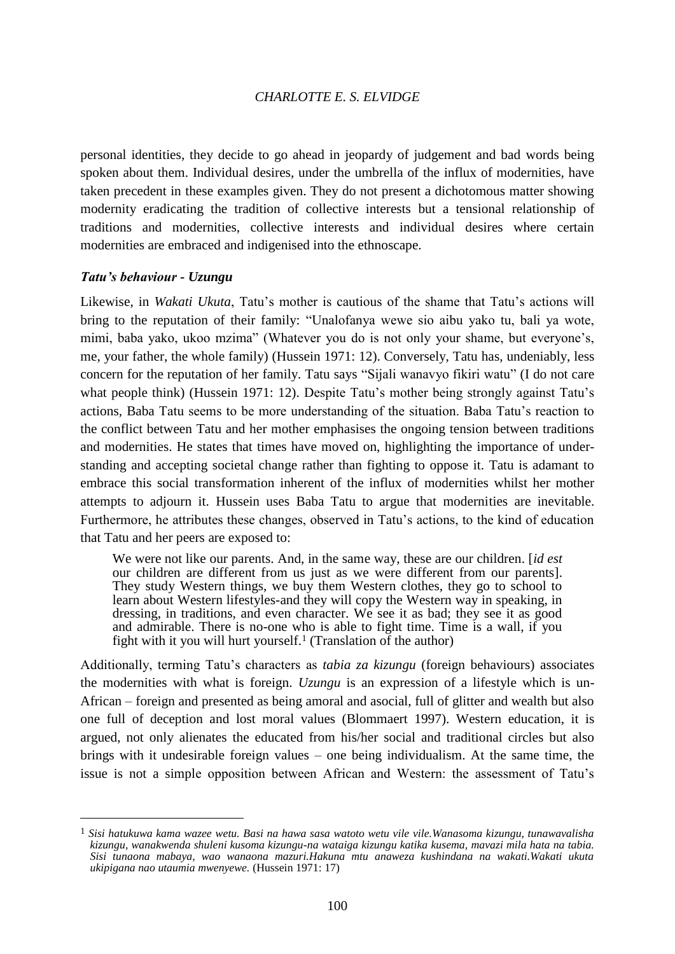personal identities, they decide to go ahead in jeopardy of judgement and bad words being spoken about them. Individual desires, under the umbrella of the influx of modernities, have taken precedent in these examples given. They do not present a dichotomous matter showing modernity eradicating the tradition of collective interests but a tensional relationship of traditions and modernities, collective interests and individual desires where certain modernities are embraced and indigenised into the ethnoscape.

#### *Tatu's behaviour - Uzungu*

 $\overline{a}$ 

Likewise, in *Wakati Ukuta*, Tatu's mother is cautious of the shame that Tatu's actions will bring to the reputation of their family: "Unalofanya wewe sio aibu yako tu, bali ya wote, mimi, baba yako, ukoo mzima" (Whatever you do is not only your shame, but everyone's, me, your father, the whole family) (Hussein 1971: 12). Conversely, Tatu has, undeniably, less concern for the reputation of her family. Tatu says "Sijali wanavyo fikiri watu" (I do not care what people think) (Hussein 1971: 12). Despite Tatu's mother being strongly against Tatu's actions, Baba Tatu seems to be more understanding of the situation. Baba Tatu's reaction to the conflict between Tatu and her mother emphasises the ongoing tension between traditions and modernities. He states that times have moved on, highlighting the importance of understanding and accepting societal change rather than fighting to oppose it. Tatu is adamant to embrace this social transformation inherent of the influx of modernities whilst her mother attempts to adjourn it. Hussein uses Baba Tatu to argue that modernities are inevitable. Furthermore, he attributes these changes, observed in Tatu's actions, to the kind of education that Tatu and her peers are exposed to:

We were not like our parents. And, in the same way, these are our children. [*id est* our children are different from us just as we were different from our parents]. They study Western things, we buy them Western clothes, they go to school to learn about Western lifestyles-and they will copy the Western way in speaking, in dressing, in traditions, and even character. We see it as bad; they see it as good and admirable. There is no-one who is able to fight time. Time is a wall, if you fight with it you will hurt yourself.<sup>1</sup> (Translation of the author)

Additionally, terming Tatu's characters as *tabia za kizungu* (foreign behaviours) associates the modernities with what is foreign. *Uzungu* is an expression of a lifestyle which is un-African – foreign and presented as being amoral and asocial, full of glitter and wealth but also one full of deception and lost moral values (Blommaert 1997). Western education, it is argued, not only alienates the educated from his/her social and traditional circles but also brings with it undesirable foreign values – one being individualism. At the same time, the issue is not a simple opposition between African and Western: the assessment of Tatu's

<sup>1</sup> *Sisi hatukuwa kama wazee wetu. Basi na hawa sasa watoto wetu vile vile.Wanasoma kizungu, tunawavalisha kizungu, wanakwenda shuleni kusoma kizungu-na wataiga kizungu katika kusema, mavazi mila hata na tabia. Sisi tunaona mabaya, wao wanaona mazuri.Hakuna mtu anaweza kushindana na wakati.Wakati ukuta ukipigana nao utaumia mwenyewe.* (Hussein 1971: 17)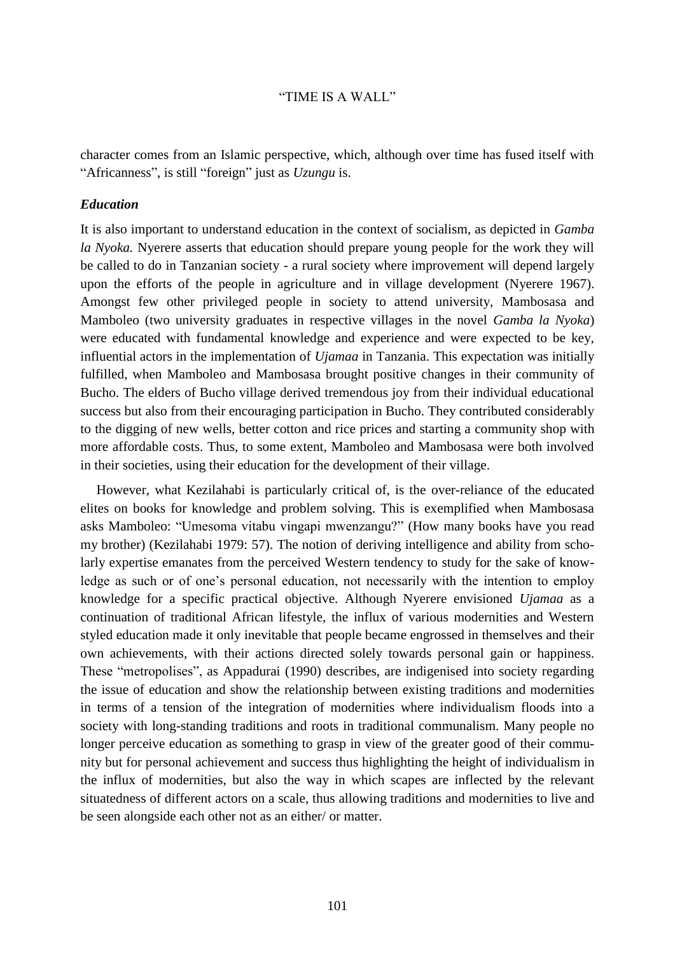character comes from an Islamic perspective, which, although over time has fused itself with "Africanness", is still "foreign" just as *Uzungu* is.

### *Education*

It is also important to understand education in the context of socialism, as depicted in *Gamba la Nyoka.* Nyerere asserts that education should prepare young people for the work they will be called to do in Tanzanian society - a rural society where improvement will depend largely upon the efforts of the people in agriculture and in village development (Nyerere 1967). Amongst few other privileged people in society to attend university, Mambosasa and Mamboleo (two university graduates in respective villages in the novel *Gamba la Nyoka*) were educated with fundamental knowledge and experience and were expected to be key, influential actors in the implementation of *Ujamaa* in Tanzania. This expectation was initially fulfilled, when Mamboleo and Mambosasa brought positive changes in their community of Bucho. The elders of Bucho village derived tremendous joy from their individual educational success but also from their encouraging participation in Bucho. They contributed considerably to the digging of new wells, better cotton and rice prices and starting a community shop with more affordable costs. Thus, to some extent, Mamboleo and Mambosasa were both involved in their societies, using their education for the development of their village.

However, what Kezilahabi is particularly critical of, is the over-reliance of the educated elites on books for knowledge and problem solving. This is exemplified when Mambosasa asks Mamboleo: "Umesoma vitabu vingapi mwenzangu?" (How many books have you read my brother) (Kezilahabi 1979: 57). The notion of deriving intelligence and ability from scholarly expertise emanates from the perceived Western tendency to study for the sake of knowledge as such or of one's personal education, not necessarily with the intention to employ knowledge for a specific practical objective. Although Nyerere envisioned *Ujamaa* as a continuation of traditional African lifestyle, the influx of various modernities and Western styled education made it only inevitable that people became engrossed in themselves and their own achievements, with their actions directed solely towards personal gain or happiness. These "metropolises", as Appadurai (1990) describes, are indigenised into society regarding the issue of education and show the relationship between existing traditions and modernities in terms of a tension of the integration of modernities where individualism floods into a society with long-standing traditions and roots in traditional communalism. Many people no longer perceive education as something to grasp in view of the greater good of their community but for personal achievement and success thus highlighting the height of individualism in the influx of modernities, but also the way in which scapes are inflected by the relevant situatedness of different actors on a scale, thus allowing traditions and modernities to live and be seen alongside each other not as an either/ or matter.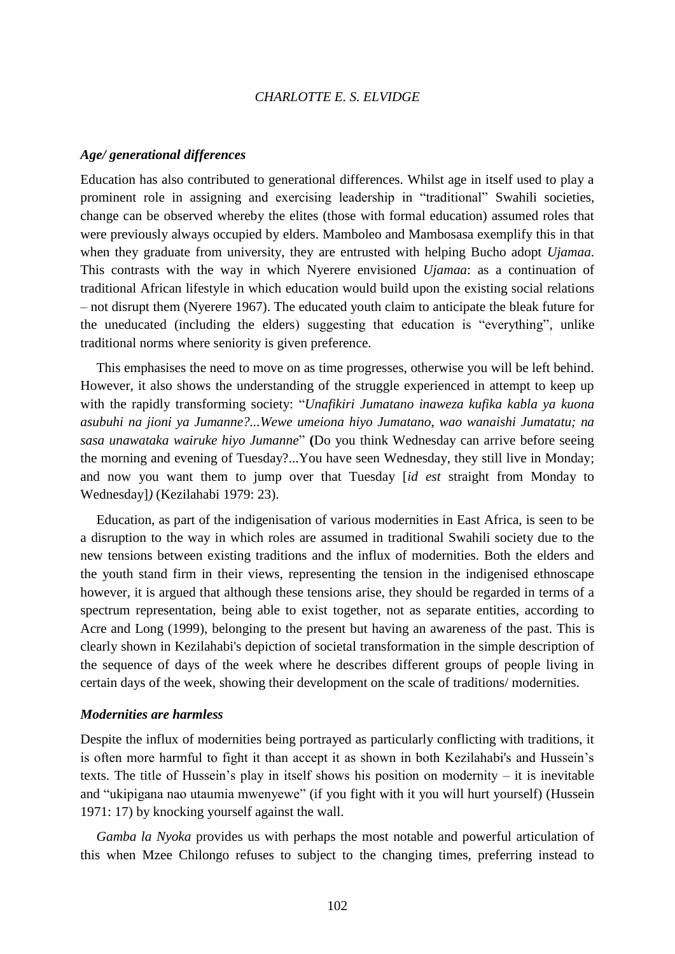#### *Age/ generational differences*

Education has also contributed to generational differences. Whilst age in itself used to play a prominent role in assigning and exercising leadership in "traditional" Swahili societies, change can be observed whereby the elites (those with formal education) assumed roles that were previously always occupied by elders. Mamboleo and Mambosasa exemplify this in that when they graduate from university, they are entrusted with helping Bucho adopt *Ujamaa*. This contrasts with the way in which Nyerere envisioned *Ujamaa*: as a continuation of traditional African lifestyle in which education would build upon the existing social relations – not disrupt them (Nyerere 1967). The educated youth claim to anticipate the bleak future for the uneducated (including the elders) suggesting that education is "everything", unlike traditional norms where seniority is given preference.

This emphasises the need to move on as time progresses, otherwise you will be left behind. However, it also shows the understanding of the struggle experienced in attempt to keep up with the rapidly transforming society: "*Unafikiri Jumatano inaweza kufika kabla ya kuona asubuhi na jioni ya Jumanne?...Wewe umeiona hiyo Jumatano, wao wanaishi Jumatatu; na sasa unawataka wairuke hiyo Jumanne*" **(**Do you think Wednesday can arrive before seeing the morning and evening of Tuesday?...You have seen Wednesday, they still live in Monday; and now you want them to jump over that Tuesday [*id est* straight from Monday to Wednesday]*)* (Kezilahabi 1979: 23).

Education, as part of the indigenisation of various modernities in East Africa, is seen to be a disruption to the way in which roles are assumed in traditional Swahili society due to the new tensions between existing traditions and the influx of modernities. Both the elders and the youth stand firm in their views, representing the tension in the indigenised ethnoscape however, it is argued that although these tensions arise, they should be regarded in terms of a spectrum representation, being able to exist together, not as separate entities, according to Acre and Long (1999), belonging to the present but having an awareness of the past. This is clearly shown in Kezilahabi's depiction of societal transformation in the simple description of the sequence of days of the week where he describes different groups of people living in certain days of the week, showing their development on the scale of traditions/ modernities.

#### *Modernities are harmless*

Despite the influx of modernities being portrayed as particularly conflicting with traditions, it is often more harmful to fight it than accept it as shown in both Kezilahabi's and Hussein's texts. The title of Hussein's play in itself shows his position on modernity – it is inevitable and "ukipigana nao utaumia mwenyewe" (if you fight with it you will hurt yourself) (Hussein 1971: 17) by knocking yourself against the wall.

*Gamba la Nyoka* provides us with perhaps the most notable and powerful articulation of this when Mzee Chilongo refuses to subject to the changing times, preferring instead to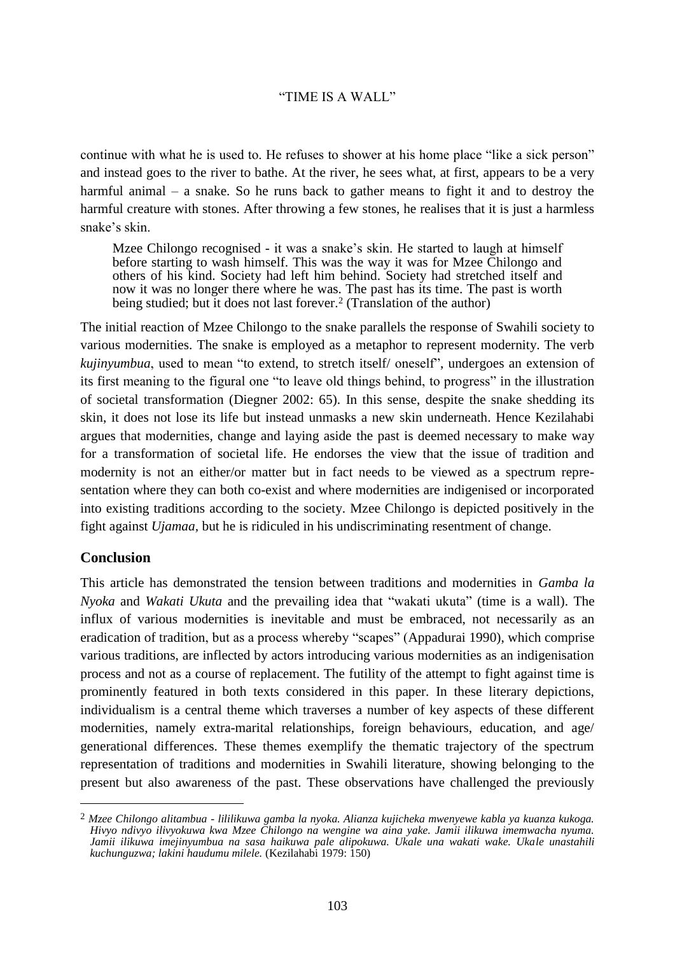continue with what he is used to. He refuses to shower at his home place "like a sick person" and instead goes to the river to bathe. At the river, he sees what, at first, appears to be a very harmful animal – a snake. So he runs back to gather means to fight it and to destroy the harmful creature with stones. After throwing a few stones, he realises that it is just a harmless snake's skin.

Mzee Chilongo recognised - it was a snake's skin. He started to laugh at himself before starting to wash himself. This was the way it was for Mzee Chilongo and others of his kind. Society had left him behind. Society had stretched itself and now it was no longer there where he was. The past has its time. The past is worth being studied; but it does not last forever.<sup>2</sup> (Translation of the author)

The initial reaction of Mzee Chilongo to the snake parallels the response of Swahili society to various modernities. The snake is employed as a metaphor to represent modernity. The verb *kujinyumbua*, used to mean "to extend, to stretch itself/ oneself", undergoes an extension of its first meaning to the figural one "to leave old things behind, to progress" in the illustration of societal transformation (Diegner 2002: 65). In this sense, despite the snake shedding its skin, it does not lose its life but instead unmasks a new skin underneath. Hence Kezilahabi argues that modernities, change and laying aside the past is deemed necessary to make way for a transformation of societal life. He endorses the view that the issue of tradition and modernity is not an either/or matter but in fact needs to be viewed as a spectrum representation where they can both co-exist and where modernities are indigenised or incorporated into existing traditions according to the society. Mzee Chilongo is depicted positively in the fight against *Ujamaa,* but he is ridiculed in his undiscriminating resentment of change.

# **Conclusion**

 $\overline{a}$ 

This article has demonstrated the tension between traditions and modernities in *Gamba la Nyoka* and *Wakati Ukuta* and the prevailing idea that "wakati ukuta" (time is a wall). The influx of various modernities is inevitable and must be embraced, not necessarily as an eradication of tradition, but as a process whereby "scapes" (Appadurai 1990), which comprise various traditions, are inflected by actors introducing various modernities as an indigenisation process and not as a course of replacement. The futility of the attempt to fight against time is prominently featured in both texts considered in this paper. In these literary depictions, individualism is a central theme which traverses a number of key aspects of these different modernities, namely extra-marital relationships, foreign behaviours, education, and age/ generational differences. These themes exemplify the thematic trajectory of the spectrum representation of traditions and modernities in Swahili literature, showing belonging to the present but also awareness of the past. These observations have challenged the previously

<sup>2</sup> *Mzee Chilongo alitambua - lililikuwa gamba la nyoka. Alianza kujicheka mwenyewe kabla ya kuanza kukoga. Hivyo ndivyo ilivyokuwa kwa Mzee Chilongo na wengine wa aina yake. Jamii ilikuwa imemwacha nyuma. Jamii ilikuwa imejinyumbua na sasa haikuwa pale alipokuwa. Ukale una wakati wake. Ukale unastahili kuchunguzwa; lakini haudumu milele.* (Kezilahabi 1979: 150)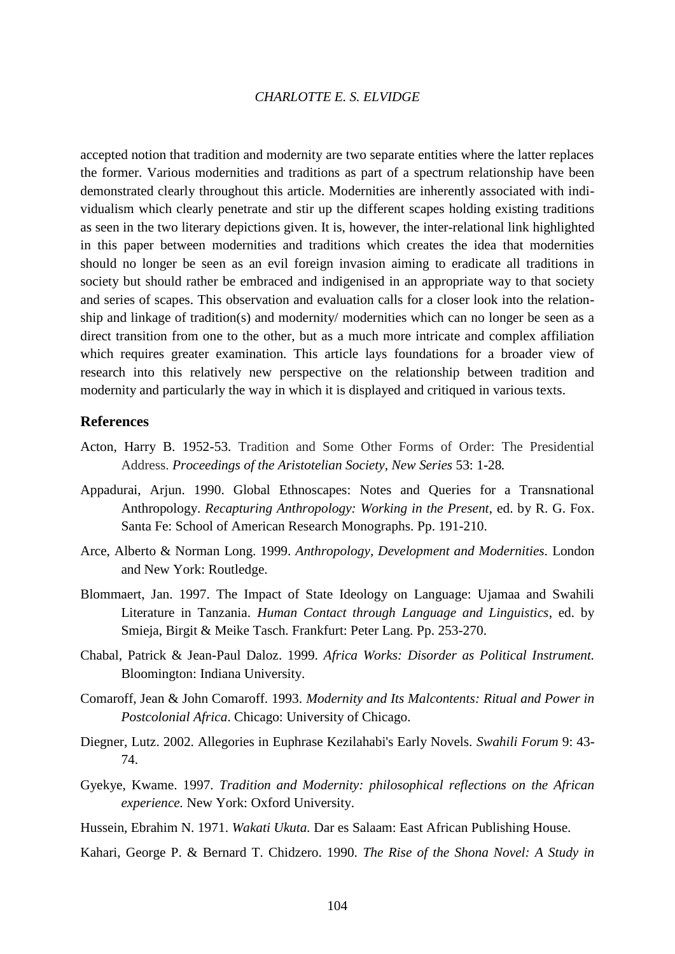accepted notion that tradition and modernity are two separate entities where the latter replaces the former. Various modernities and traditions as part of a spectrum relationship have been demonstrated clearly throughout this article. Modernities are inherently associated with individualism which clearly penetrate and stir up the different scapes holding existing traditions as seen in the two literary depictions given. It is, however, the inter-relational link highlighted in this paper between modernities and traditions which creates the idea that modernities should no longer be seen as an evil foreign invasion aiming to eradicate all traditions in society but should rather be embraced and indigenised in an appropriate way to that society and series of scapes. This observation and evaluation calls for a closer look into the relationship and linkage of tradition(s) and modernity/ modernities which can no longer be seen as a direct transition from one to the other, but as a much more intricate and complex affiliation which requires greater examination. This article lays foundations for a broader view of research into this relatively new perspective on the relationship between tradition and modernity and particularly the way in which it is displayed and critiqued in various texts.

# **References**

- Acton, Harry B. 1952-53. Tradition and Some Other Forms of Order: The Presidential Address. *Proceedings of the Aristotelian Society, New Series* 53: 1-28*.*
- Appadurai, Arjun. 1990. Global Ethnoscapes: Notes and Queries for a Transnational Anthropology. *Recapturing Anthropology: Working in the Present*, ed. by R. G. Fox. Santa Fe: School of American Research Monographs. Pp. 191-210.
- Arce, Alberto & Norman Long. 1999. *Anthropology, Development and Modernities.* London and New York: Routledge.
- Blommaert, Jan. 1997. The Impact of State Ideology on Language: Ujamaa and Swahili Literature in Tanzania. *Human Contact through Language and Linguistics*, ed. by Smieja, Birgit & Meike Tasch. Frankfurt: Peter Lang. Pp. 253-270.
- Chabal, Patrick & Jean-Paul Daloz. 1999. *Africa Works: Disorder as Political Instrument.*  Bloomington: Indiana University.
- Comaroff, Jean & John Comaroff. 1993. *Modernity and Its Malcontents: Ritual and Power in Postcolonial Africa*. Chicago: University of Chicago.
- Diegner, Lutz. 2002. Allegories in Euphrase Kezilahabi's Early Novels. *Swahili Forum* 9: 43- 74.
- Gyekye, Kwame. 1997. *Tradition and Modernity: philosophical reflections on the African experience.* New York: Oxford University.
- Hussein, Ebrahim N. 1971. *Wakati Ukuta.* Dar es Salaam: East African Publishing House.
- Kahari, George P. & Bernard T. Chidzero. 1990. *The Rise of the Shona Novel: A Study in*